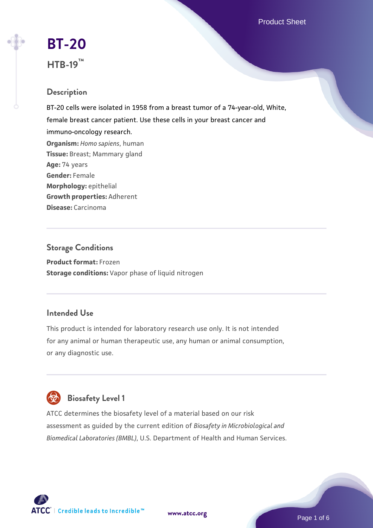Product Sheet

# **[BT-20](https://www.atcc.org/products/htb-19) HTB-19™**

# **Description**

BT-20 cells were isolated in 1958 from a breast tumor of a 74-year-old, White, female breast cancer patient. Use these cells in your breast cancer and immuno-oncology research. **Organism:** *Homo sapiens*, human **Tissue:** Breast; Mammary gland **Age:** 74 years **Gender:** Female **Morphology:** epithelial **Growth properties:** Adherent **Disease:** Carcinoma

# **Storage Conditions Product format:** Frozen **Storage conditions:** Vapor phase of liquid nitrogen

# **Intended Use**

This product is intended for laboratory research use only. It is not intended for any animal or human therapeutic use, any human or animal consumption, or any diagnostic use.



# **Biosafety Level 1**

ATCC determines the biosafety level of a material based on our risk assessment as guided by the current edition of *Biosafety in Microbiological and Biomedical Laboratories (BMBL)*, U.S. Department of Health and Human Services.

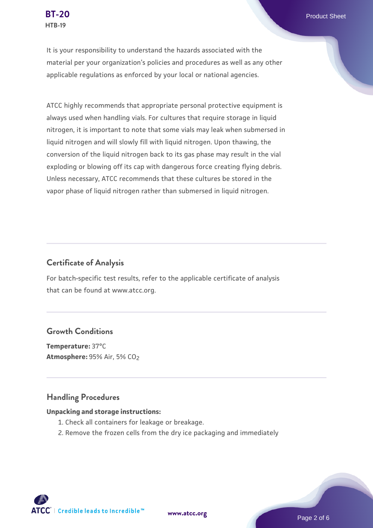It is your responsibility to understand the hazards associated with the material per your organization's policies and procedures as well as any other applicable regulations as enforced by your local or national agencies.

ATCC highly recommends that appropriate personal protective equipment is always used when handling vials. For cultures that require storage in liquid nitrogen, it is important to note that some vials may leak when submersed in liquid nitrogen and will slowly fill with liquid nitrogen. Upon thawing, the conversion of the liquid nitrogen back to its gas phase may result in the vial exploding or blowing off its cap with dangerous force creating flying debris. Unless necessary, ATCC recommends that these cultures be stored in the vapor phase of liquid nitrogen rather than submersed in liquid nitrogen.

## **Certificate of Analysis**

For batch-specific test results, refer to the applicable certificate of analysis that can be found at www.atcc.org.

### **Growth Conditions**

**Temperature:** 37°C **Atmosphere: 95% Air, 5% CO<sub>2</sub>** 

#### **Handling Procedures**

#### **Unpacking and storage instructions:**

- 1. Check all containers for leakage or breakage.
- 2. Remove the frozen cells from the dry ice packaging and immediately

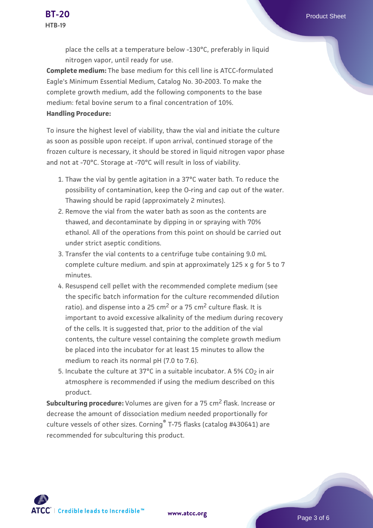place the cells at a temperature below -130°C, preferably in liquid nitrogen vapor, until ready for use.

**Complete medium:** The base medium for this cell line is ATCC-formulated Eagle's Minimum Essential Medium, Catalog No. 30-2003. To make the complete growth medium, add the following components to the base medium: fetal bovine serum to a final concentration of 10%. **Handling Procedure:**

To insure the highest level of viability, thaw the vial and initiate the culture as soon as possible upon receipt. If upon arrival, continued storage of the frozen culture is necessary, it should be stored in liquid nitrogen vapor phase and not at -70°C. Storage at -70°C will result in loss of viability.

- 1. Thaw the vial by gentle agitation in a 37°C water bath. To reduce the possibility of contamination, keep the O-ring and cap out of the water. Thawing should be rapid (approximately 2 minutes).
- 2. Remove the vial from the water bath as soon as the contents are thawed, and decontaminate by dipping in or spraying with 70% ethanol. All of the operations from this point on should be carried out under strict aseptic conditions.
- 3. Transfer the vial contents to a centrifuge tube containing 9.0 mL complete culture medium. and spin at approximately 125 x g for 5 to 7 minutes.
- 4. Resuspend cell pellet with the recommended complete medium (see the specific batch information for the culture recommended dilution ratio). and dispense into a 25 cm<sup>2</sup> or a 75 cm<sup>2</sup> culture flask. It is important to avoid excessive alkalinity of the medium during recovery of the cells. It is suggested that, prior to the addition of the vial contents, the culture vessel containing the complete growth medium be placed into the incubator for at least 15 minutes to allow the medium to reach its normal pH (7.0 to 7.6).
- 5. Incubate the culture at 37°C in a suitable incubator. A 5% CO<sub>2</sub> in air atmosphere is recommended if using the medium described on this product.

**Subculturing procedure:** Volumes are given for a 75 cm<sup>2</sup> flask. Increase or decrease the amount of dissociation medium needed proportionally for culture vessels of other sizes. Corning® T-75 flasks (catalog #430641) are recommended for subculturing this product.

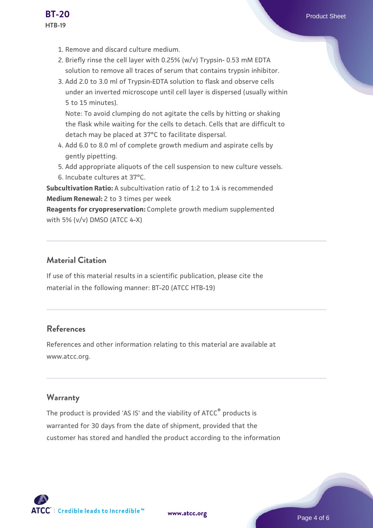- 1. Remove and discard culture medium.
- 2. Briefly rinse the cell layer with 0.25% (w/v) Trypsin- 0.53 mM EDTA solution to remove all traces of serum that contains trypsin inhibitor.
- 3. Add 2.0 to 3.0 ml of Trypsin-EDTA solution to flask and observe cells under an inverted microscope until cell layer is dispersed (usually within 5 to 15 minutes).

Note: To avoid clumping do not agitate the cells by hitting or shaking the flask while waiting for the cells to detach. Cells that are difficult to detach may be placed at 37°C to facilitate dispersal.

- Add 6.0 to 8.0 ml of complete growth medium and aspirate cells by 4. gently pipetting.
- 5. Add appropriate aliquots of the cell suspension to new culture vessels.
- 6. Incubate cultures at 37°C.

**Subcultivation Ratio:** A subcultivation ratio of 1:2 to 1:4 is recommended **Medium Renewal:** 2 to 3 times per week

**Reagents for cryopreservation:** Complete growth medium supplemented with 5% (v/v) DMSO (ATCC 4-X)

# **Material Citation**

If use of this material results in a scientific publication, please cite the material in the following manner: BT-20 (ATCC HTB-19)

# **References**

References and other information relating to this material are available at www.atcc.org.

# **Warranty**

The product is provided 'AS IS' and the viability of ATCC<sup>®</sup> products is warranted for 30 days from the date of shipment, provided that the customer has stored and handled the product according to the information

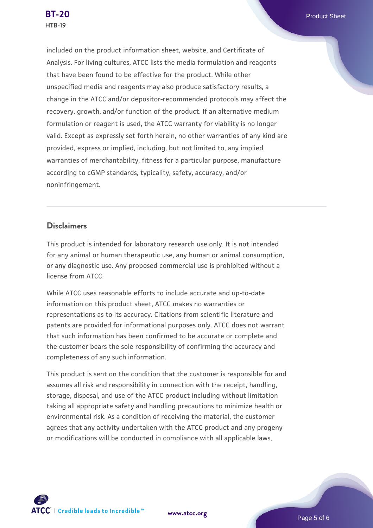included on the product information sheet, website, and Certificate of Analysis. For living cultures, ATCC lists the media formulation and reagents that have been found to be effective for the product. While other unspecified media and reagents may also produce satisfactory results, a change in the ATCC and/or depositor-recommended protocols may affect the recovery, growth, and/or function of the product. If an alternative medium formulation or reagent is used, the ATCC warranty for viability is no longer valid. Except as expressly set forth herein, no other warranties of any kind are provided, express or implied, including, but not limited to, any implied warranties of merchantability, fitness for a particular purpose, manufacture according to cGMP standards, typicality, safety, accuracy, and/or noninfringement.

### **Disclaimers**

This product is intended for laboratory research use only. It is not intended for any animal or human therapeutic use, any human or animal consumption, or any diagnostic use. Any proposed commercial use is prohibited without a license from ATCC.

While ATCC uses reasonable efforts to include accurate and up-to-date information on this product sheet, ATCC makes no warranties or representations as to its accuracy. Citations from scientific literature and patents are provided for informational purposes only. ATCC does not warrant that such information has been confirmed to be accurate or complete and the customer bears the sole responsibility of confirming the accuracy and completeness of any such information.

This product is sent on the condition that the customer is responsible for and assumes all risk and responsibility in connection with the receipt, handling, storage, disposal, and use of the ATCC product including without limitation taking all appropriate safety and handling precautions to minimize health or environmental risk. As a condition of receiving the material, the customer agrees that any activity undertaken with the ATCC product and any progeny or modifications will be conducted in compliance with all applicable laws,

**[www.atcc.org](http://www.atcc.org)**

Page 5 of 6